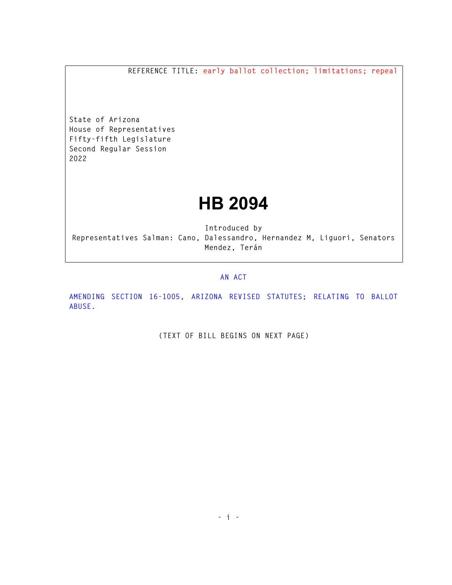**REFERENCE TITLE: early ballot collection; limitations; repeal** 

**State of Arizona House of Representatives Fifty-fifth Legislature Second Regular Session 2022** 

## **HB 2094**

**Introduced by Representatives Salman: Cano, Dalessandro, Hernandez M, Liguori, Senators Mendez, Terán** 

## **AN ACT**

**AMENDING SECTION 16-1005, ARIZONA REVISED STATUTES; RELATING TO BALLOT ABUSE.** 

**(TEXT OF BILL BEGINS ON NEXT PAGE)**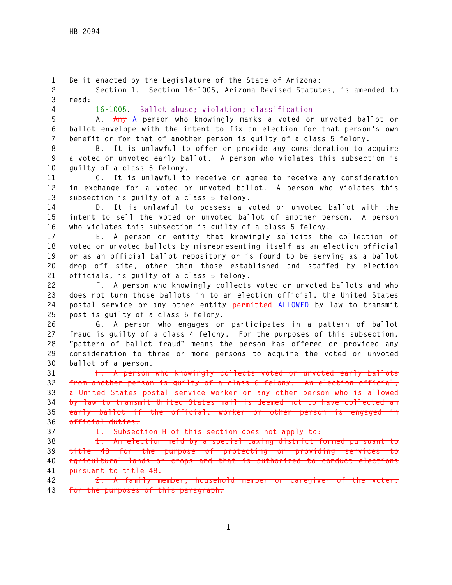**1 Be it enacted by the Legislature of the State of Arizona: 2 Section 1. Section 16-1005, Arizona Revised Statutes, is amended to 3 read: 4 16-1005. Ballot abuse; violation; classification 5 A. Any A person who knowingly marks a voted or unvoted ballot or 6 ballot envelope with the intent to fix an election for that person's own 7 benefit or for that of another person is guilty of a class 5 felony. 8 B. It is unlawful to offer or provide any consideration to acquire 9 a voted or unvoted early ballot. A person who violates this subsection is 10 guilty of a class 5 felony. 11 C. It is unlawful to receive or agree to receive any consideration 12 in exchange for a voted or unvoted ballot. A person who violates this 13 subsection is guilty of a class 5 felony. 14 D. It is unlawful to possess a voted or unvoted ballot with the 15 intent to sell the voted or unvoted ballot of another person. A person 16 who violates this subsection is guilty of a class 5 felony. 17 E. A person or entity that knowingly solicits the collection of 18 voted or unvoted ballots by misrepresenting itself as an election official 19 or as an official ballot repository or is found to be serving as a ballot 20 drop off site, other than those established and staffed by election 21 officials, is guilty of a class 5 felony. 22 F. A person who knowingly collects voted or unvoted ballots and who 23 does not turn those ballots in to an election official, the United States 24 postal service or any other entity permitted ALLOWED by law to transmit 25 post is guilty of a class 5 felony. 26 G. A person who engages or participates in a pattern of ballot 27 fraud is guilty of a class 4 felony. For the purposes of this subsection, 28 "pattern of ballot fraud" means the person has offered or provided any 29 consideration to three or more persons to acquire the voted or unvoted 30 ballot of a person. 31 H. A person who knowingly collects voted or unvoted early ballots 32 from another person is guilty of a class 6 felony. An election official, 33 a United States postal service worker or any other person who is allowed 34 by law to transmit United States mail is deemed not to have collected an 35 early ballot if the official, worker or other person is engaged in 36 official duties. 37 I. Subsection H of this section does not apply to: 38 1. An election held by a special taxing district formed pursuant to 39 title 48 for the purpose of protecting or providing services to 40 agricultural lands or crops and that is authorized to conduct elections 41 pursuant to title 48. 42 2. A family member, household member or caregiver of the voter. 43 For the purposes of this paragraph:**